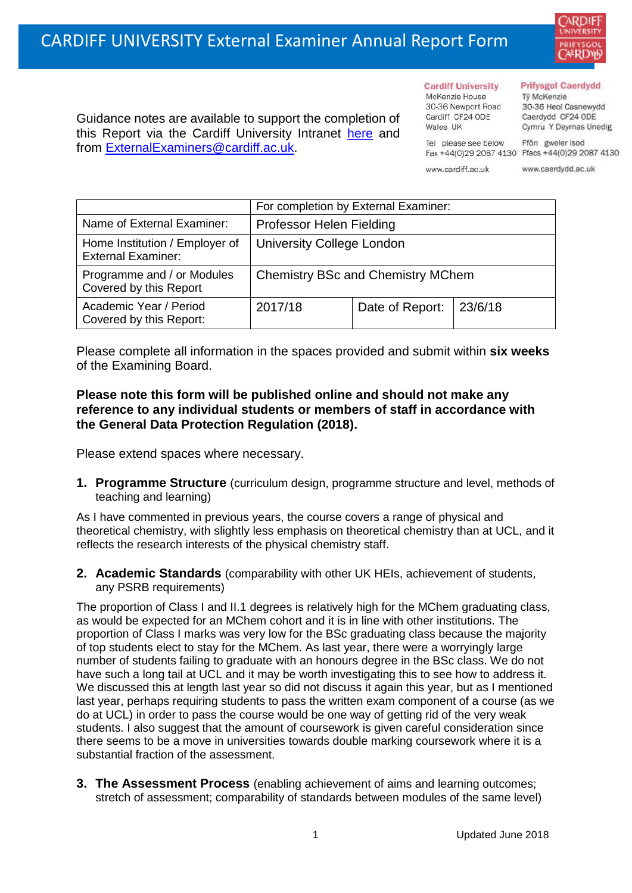

Guidance notes are available to support the completion of this Report via the Cardiff University Intranet [here](https://intranet.cardiff.ac.uk/staff/teaching-and-supporting-students/exams-and-assessment/exam-boards-and-external-examiners/for-current-external-examiners/external-examiners-reports) and from [ExternalExaminers@cardiff.ac.uk.](mailto:ExternalExaminers@cardiff.ac.uk)

## **Prifysgol Caerdydd**

Từ McKenzie 30-36 Heol Casnewydd Caerdydd CF24 ODE Cymru Y Deyrnas Unedig

Ffôn gweler isod Fax +44(0)29 2087 4130 Ffacs +44(0)29 2087 4130

www.cardiff.ac.uk

Tel please see below

**Cardiff University** 

30-36 Newport Road

McKenzie House

Cardiff CF24 ODE

Wales IIK

www.caerdydd.ac.uk

|                                                             | For completion by External Examiner:     |                           |  |  |
|-------------------------------------------------------------|------------------------------------------|---------------------------|--|--|
| Name of External Examiner:                                  | Professor Helen Fielding                 |                           |  |  |
| Home Institution / Employer of<br><b>External Examiner:</b> | <b>University College London</b>         |                           |  |  |
| Programme and / or Modules<br>Covered by this Report        | <b>Chemistry BSc and Chemistry MChem</b> |                           |  |  |
| Academic Year / Period<br>Covered by this Report:           | 2017/18                                  | Date of Report:   23/6/18 |  |  |

Please complete all information in the spaces provided and submit within **six weeks** of the Examining Board.

## **Please note this form will be published online and should not make any reference to any individual students or members of staff in accordance with the General Data Protection Regulation (2018).**

Please extend spaces where necessary.

**1. Programme Structure** (curriculum design, programme structure and level, methods of teaching and learning)

As I have commented in previous years, the course covers a range of physical and theoretical chemistry, with slightly less emphasis on theoretical chemistry than at UCL, and it reflects the research interests of the physical chemistry staff.

**2. Academic Standards** (comparability with other UK HEIs, achievement of students, any PSRB requirements)

The proportion of Class I and II.1 degrees is relatively high for the MChem graduating class, as would be expected for an MChem cohort and it is in line with other institutions. The proportion of Class I marks was very low for the BSc graduating class because the majority of top students elect to stay for the MChem. As last year, there were a worryingly large number of students failing to graduate with an honours degree in the BSc class. We do not have such a long tail at UCL and it may be worth investigating this to see how to address it. We discussed this at length last year so did not discuss it again this year, but as I mentioned last year, perhaps requiring students to pass the written exam component of a course (as we do at UCL) in order to pass the course would be one way of getting rid of the very weak students. I also suggest that the amount of coursework is given careful consideration since there seems to be a move in universities towards double marking coursework where it is a substantial fraction of the assessment.

**3. The Assessment Process** (enabling achievement of aims and learning outcomes; stretch of assessment; comparability of standards between modules of the same level)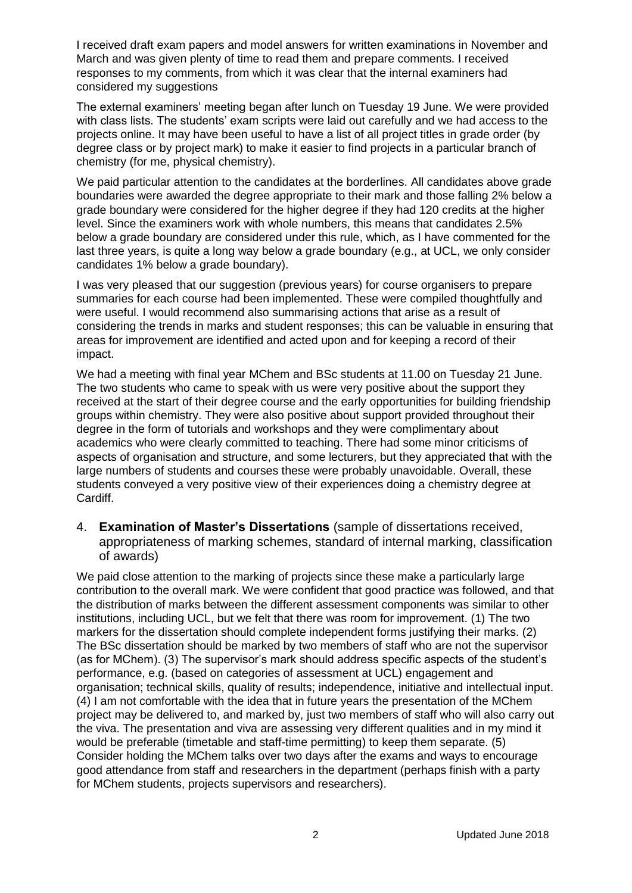I received draft exam papers and model answers for written examinations in November and March and was given plenty of time to read them and prepare comments. I received responses to my comments, from which it was clear that the internal examiners had considered my suggestions

The external examiners' meeting began after lunch on Tuesday 19 June. We were provided with class lists. The students' exam scripts were laid out carefully and we had access to the projects online. It may have been useful to have a list of all project titles in grade order (by degree class or by project mark) to make it easier to find projects in a particular branch of chemistry (for me, physical chemistry).

We paid particular attention to the candidates at the borderlines. All candidates above grade boundaries were awarded the degree appropriate to their mark and those falling 2% below a grade boundary were considered for the higher degree if they had 120 credits at the higher level. Since the examiners work with whole numbers, this means that candidates 2.5% below a grade boundary are considered under this rule, which, as I have commented for the last three years, is quite a long way below a grade boundary (e.g., at UCL, we only consider candidates 1% below a grade boundary).

I was very pleased that our suggestion (previous years) for course organisers to prepare summaries for each course had been implemented. These were compiled thoughtfully and were useful. I would recommend also summarising actions that arise as a result of considering the trends in marks and student responses; this can be valuable in ensuring that areas for improvement are identified and acted upon and for keeping a record of their impact.

We had a meeting with final year MChem and BSc students at 11.00 on Tuesday 21 June. The two students who came to speak with us were very positive about the support they received at the start of their degree course and the early opportunities for building friendship groups within chemistry. They were also positive about support provided throughout their degree in the form of tutorials and workshops and they were complimentary about academics who were clearly committed to teaching. There had some minor criticisms of aspects of organisation and structure, and some lecturers, but they appreciated that with the large numbers of students and courses these were probably unavoidable. Overall, these students conveyed a very positive view of their experiences doing a chemistry degree at Cardiff.

4. **Examination of Master's Dissertations** (sample of dissertations received, appropriateness of marking schemes, standard of internal marking, classification of awards)

We paid close attention to the marking of projects since these make a particularly large contribution to the overall mark. We were confident that good practice was followed, and that the distribution of marks between the different assessment components was similar to other institutions, including UCL, but we felt that there was room for improvement. (1) The two markers for the dissertation should complete independent forms justifying their marks. (2) The BSc dissertation should be marked by two members of staff who are not the supervisor (as for MChem). (3) The supervisor's mark should address specific aspects of the student's performance, e.g. (based on categories of assessment at UCL) engagement and organisation; technical skills, quality of results; independence, initiative and intellectual input. (4) I am not comfortable with the idea that in future years the presentation of the MChem project may be delivered to, and marked by, just two members of staff who will also carry out the viva. The presentation and viva are assessing very different qualities and in my mind it would be preferable (timetable and staff-time permitting) to keep them separate. (5) Consider holding the MChem talks over two days after the exams and ways to encourage good attendance from staff and researchers in the department (perhaps finish with a party for MChem students, projects supervisors and researchers).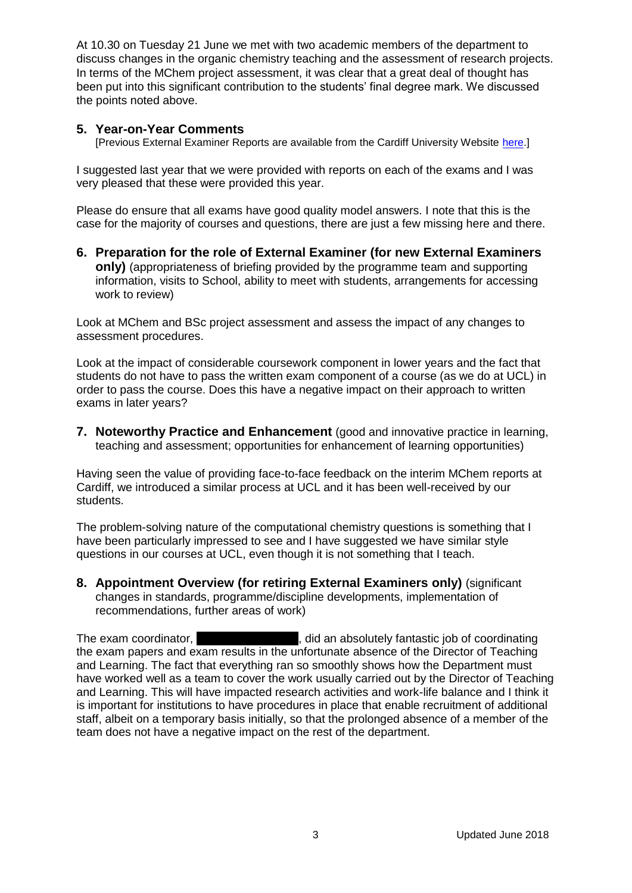At 10.30 on Tuesday 21 June we met with two academic members of the department to discuss changes in the organic chemistry teaching and the assessment of research projects. In terms of the MChem project assessment, it was clear that a great deal of thought has been put into this significant contribution to the students' final degree mark. We discussed the points noted above.

## **5. Year-on-Year Comments**

[Previous External Examiner Reports are available from the Cardiff University Website [here.](https://www.cardiff.ac.uk/public-information/quality-and-standards/external-examiner-reports)]

I suggested last year that we were provided with reports on each of the exams and I was very pleased that these were provided this year.

Please do ensure that all exams have good quality model answers. I note that this is the case for the majority of courses and questions, there are just a few missing here and there.

**6. Preparation for the role of External Examiner (for new External Examiners only)** (appropriateness of briefing provided by the programme team and supporting information, visits to School, ability to meet with students, arrangements for accessing work to review)

Look at MChem and BSc project assessment and assess the impact of any changes to assessment procedures.

Look at the impact of considerable coursework component in lower years and the fact that students do not have to pass the written exam component of a course (as we do at UCL) in order to pass the course. Does this have a negative impact on their approach to written exams in later years?

**7. Noteworthy Practice and Enhancement** (good and innovative practice in learning, teaching and assessment; opportunities for enhancement of learning opportunities)

Having seen the value of providing face-to-face feedback on the interim MChem reports at Cardiff, we introduced a similar process at UCL and it has been well-received by our students.

The problem-solving nature of the computational chemistry questions is something that I have been particularly impressed to see and I have suggested we have similar style questions in our courses at UCL, even though it is not something that I teach.

**8. Appointment Overview (for retiring External Examiners only)** (significant changes in standards, programme/discipline developments, implementation of recommendations, further areas of work)

The exam coordinator, **Driange Amorosofy**, did an absolutely fantastic job of coordinating the exam papers and exam results in the unfortunate absence of the Director of Teaching and Learning. The fact that everything ran so smoothly shows how the Department must have worked well as a team to cover the work usually carried out by the Director of Teaching and Learning. This will have impacted research activities and work-life balance and I think it is important for institutions to have procedures in place that enable recruitment of additional staff, albeit on a temporary basis initially, so that the prolonged absence of a member of the team does not have a negative impact on the rest of the department.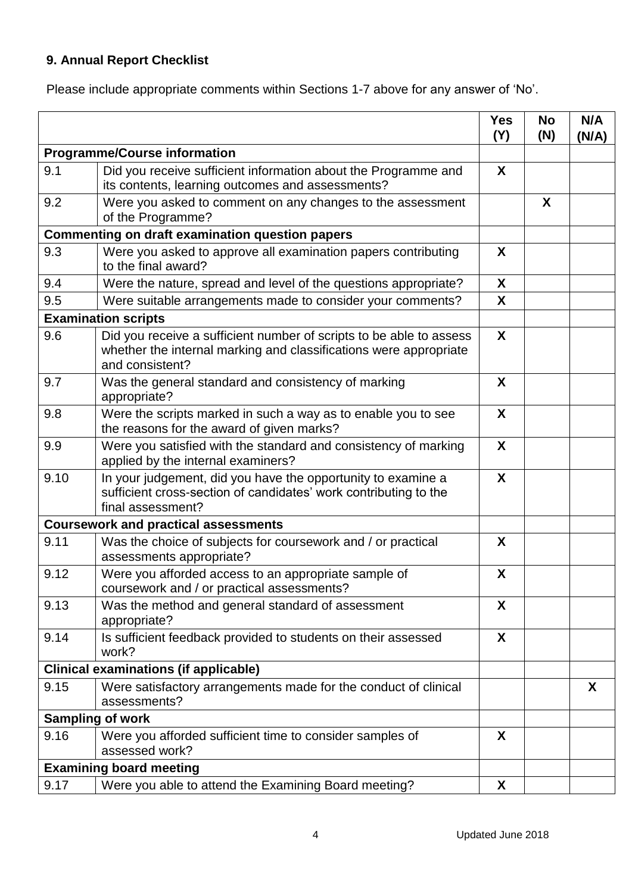## **9. Annual Report Checklist**

Please include appropriate comments within Sections 1-7 above for any answer of 'No'.

|                                                        |                                                                                                                                                             | <b>Yes</b><br>(Y) | <b>No</b><br>(N) | N/A<br>(N/A) |
|--------------------------------------------------------|-------------------------------------------------------------------------------------------------------------------------------------------------------------|-------------------|------------------|--------------|
| <b>Programme/Course information</b>                    |                                                                                                                                                             |                   |                  |              |
| 9.1                                                    | Did you receive sufficient information about the Programme and<br>its contents, learning outcomes and assessments?                                          | X                 |                  |              |
| 9.2                                                    | Were you asked to comment on any changes to the assessment<br>of the Programme?                                                                             |                   | X                |              |
| <b>Commenting on draft examination question papers</b> |                                                                                                                                                             |                   |                  |              |
| 9.3                                                    | Were you asked to approve all examination papers contributing<br>to the final award?                                                                        | X                 |                  |              |
| 9.4                                                    | Were the nature, spread and level of the questions appropriate?                                                                                             | X                 |                  |              |
| 9.5                                                    | Were suitable arrangements made to consider your comments?                                                                                                  | X                 |                  |              |
|                                                        | <b>Examination scripts</b>                                                                                                                                  |                   |                  |              |
| 9.6                                                    | Did you receive a sufficient number of scripts to be able to assess<br>whether the internal marking and classifications were appropriate<br>and consistent? | X                 |                  |              |
| 9.7                                                    | Was the general standard and consistency of marking<br>appropriate?                                                                                         | X                 |                  |              |
| 9.8                                                    | Were the scripts marked in such a way as to enable you to see<br>the reasons for the award of given marks?                                                  | X                 |                  |              |
| 9.9                                                    | Were you satisfied with the standard and consistency of marking<br>applied by the internal examiners?                                                       | X                 |                  |              |
| 9.10                                                   | In your judgement, did you have the opportunity to examine a<br>sufficient cross-section of candidates' work contributing to the<br>final assessment?       | X                 |                  |              |
|                                                        | <b>Coursework and practical assessments</b>                                                                                                                 |                   |                  |              |
| 9.11                                                   | Was the choice of subjects for coursework and / or practical<br>assessments appropriate?                                                                    | X                 |                  |              |
| 9.12                                                   | Were you afforded access to an appropriate sample of<br>coursework and / or practical assessments?                                                          | X                 |                  |              |
| 9.13                                                   | Was the method and general standard of assessment<br>appropriate?                                                                                           | X                 |                  |              |
| 9.14                                                   | Is sufficient feedback provided to students on their assessed<br>work?                                                                                      | X                 |                  |              |
|                                                        | <b>Clinical examinations (if applicable)</b>                                                                                                                |                   |                  |              |
| 9.15                                                   | Were satisfactory arrangements made for the conduct of clinical<br>assessments?                                                                             |                   |                  | X            |
|                                                        | <b>Sampling of work</b>                                                                                                                                     |                   |                  |              |
| 9.16                                                   | Were you afforded sufficient time to consider samples of<br>assessed work?                                                                                  | X                 |                  |              |
|                                                        | <b>Examining board meeting</b>                                                                                                                              |                   |                  |              |
| 9.17                                                   | Were you able to attend the Examining Board meeting?                                                                                                        | X                 |                  |              |